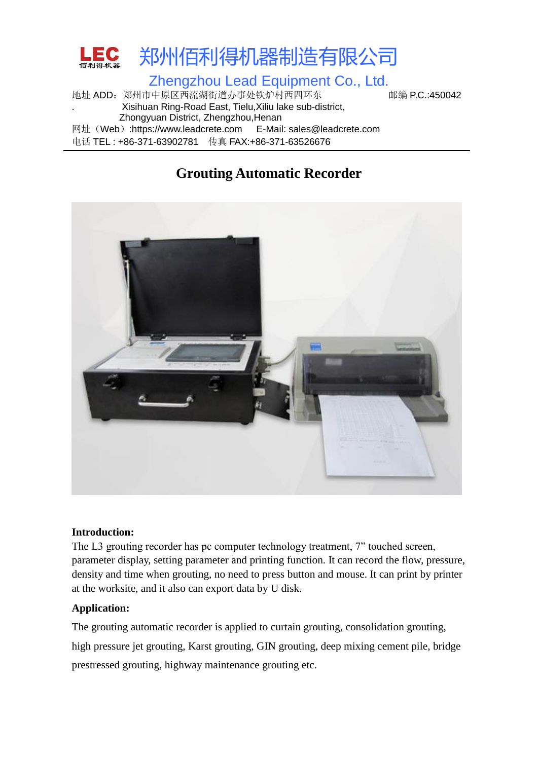

地址 ADD: 郑州市中原区西流湖街道办事处铁炉村西四环东 邮编 P.C.:450042 . Xisihuan Ring-Road East, Tielu,Xiliu lake sub-district, Zhongyuan District, Zhengzhou,Henan 网址(Web):https://www.leadcrete.com E-Mail: sales@leadcrete.com 电话 TEL : +86-371-63902781 传真 FAX:+86-371-63526676

# **Grouting Automatic Recorder**



#### **Introduction:**

The L3 grouting recorder has pc computer technology treatment, 7" touched screen, parameter display, setting parameter and printing function. It can record the flow, pressure, density and time when grouting, no need to press button and mouse. It can print by printer at the worksite, and it also can export data by U disk.

### **Application:**

The grouting automatic recorder is applied to curtain grouting, consolidation grouting, high pressure jet grouting, Karst grouting, GIN grouting, deep mixing cement pile, bridge prestressed grouting, highway maintenance grouting etc.